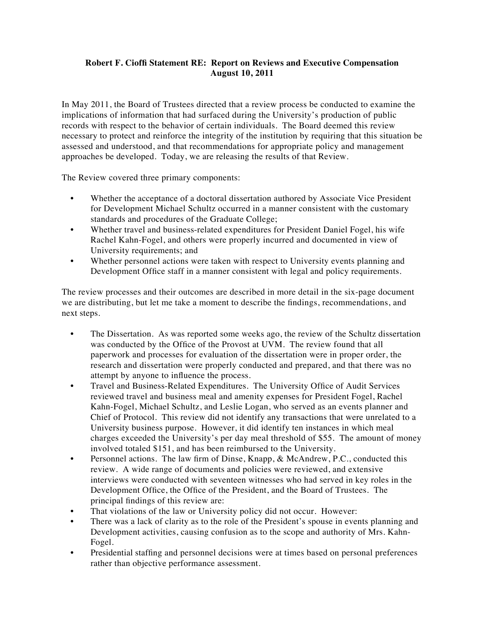## **Robert F. Cioffi Statement RE: Report on Reviews and Executive Compensation August 10, 2011**

In May 2011, the Board of Trustees directed that a review process be conducted to examine the implications of information that had surfaced during the University's production of public records with respect to the behavior of certain individuals. The Board deemed this review necessary to protect and reinforce the integrity of the institution by requiring that this situation be assessed and understood, and that recommendations for appropriate policy and management approaches be developed. Today, we are releasing the results of that Review.

The Review covered three primary components:

- Whether the acceptance of a doctoral dissertation authored by Associate Vice President for Development Michael Schultz occurred in a manner consistent with the customary standards and procedures of the Graduate College;
- Whether travel and business-related expenditures for President Daniel Fogel, his wife Rachel Kahn-Fogel, and others were properly incurred and documented in view of University requirements; and
- Whether personnel actions were taken with respect to University events planning and Development Office staff in a manner consistent with legal and policy requirements.

The review processes and their outcomes are described in more detail in the six-page document we are distributing, but let me take a moment to describe the findings, recommendations, and next steps.

- The Dissertation. As was reported some weeks ago, the review of the Schultz dissertation was conducted by the Office of the Provost at UVM. The review found that all paperwork and processes for evaluation of the dissertation were in proper order, the research and dissertation were properly conducted and prepared, and that there was no attempt by anyone to influence the process.
- Travel and Business-Related Expenditures. The University Office of Audit Services reviewed travel and business meal and amenity expenses for President Fogel, Rachel Kahn-Fogel, Michael Schultz, and Leslie Logan, who served as an events planner and Chief of Protocol. This review did not identify any transactions that were unrelated to a University business purpose. However, it did identify ten instances in which meal charges exceeded the University's per day meal threshold of \$55. The amount of money involved totaled \$151, and has been reimbursed to the University.
- Personnel actions. The law firm of Dinse, Knapp, & McAndrew, P.C., conducted this review. A wide range of documents and policies were reviewed, and extensive interviews were conducted with seventeen witnesses who had served in key roles in the Development Office, the Office of the President, and the Board of Trustees. The principal findings of this review are:
- That violations of the law or University policy did not occur. However:
- There was a lack of clarity as to the role of the President's spouse in events planning and Development activities, causing confusion as to the scope and authority of Mrs. Kahn-Fogel.
- Presidential staffing and personnel decisions were at times based on personal preferences rather than objective performance assessment.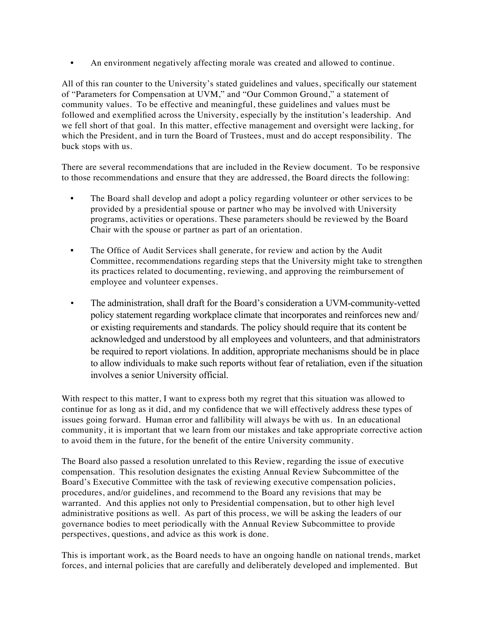• An environment negatively affecting morale was created and allowed to continue.

All of this ran counter to the University's stated guidelines and values, specifically our statement of "Parameters for Compensation at UVM," and "Our Common Ground," a statement of community values. To be effective and meaningful, these guidelines and values must be followed and exemplified across the University, especially by the institution's leadership. And we fell short of that goal. In this matter, effective management and oversight were lacking, for which the President, and in turn the Board of Trustees, must and do accept responsibility. The buck stops with us.

There are several recommendations that are included in the Review document. To be responsive to those recommendations and ensure that they are addressed, the Board directs the following:

- The Board shall develop and adopt a policy regarding volunteer or other services to be provided by a presidential spouse or partner who may be involved with University programs, activities or operations. These parameters should be reviewed by the Board Chair with the spouse or partner as part of an orientation.
- The Office of Audit Services shall generate, for review and action by the Audit Committee, recommendations regarding steps that the University might take to strengthen its practices related to documenting, reviewing, and approving the reimbursement of employee and volunteer expenses.
- The administration, shall draft for the Board's consideration a UVM-community-vetted policy statement regarding workplace climate that incorporates and reinforces new and/ or existing requirements and standards. The policy should require that its content be acknowledged and understood by all employees and volunteers, and that administrators be required to report violations. In addition, appropriate mechanisms should be in place to allow individuals to make such reports without fear of retaliation, even if the situation involves a senior University official.

With respect to this matter, I want to express both my regret that this situation was allowed to continue for as long as it did, and my confidence that we will effectively address these types of issues going forward. Human error and fallibility will always be with us. In an educational community, it is important that we learn from our mistakes and take appropriate corrective action to avoid them in the future, for the benefit of the entire University community.

The Board also passed a resolution unrelated to this Review, regarding the issue of executive compensation. This resolution designates the existing Annual Review Subcommittee of the Board's Executive Committee with the task of reviewing executive compensation policies, procedures, and/or guidelines, and recommend to the Board any revisions that may be warranted. And this applies not only to Presidential compensation, but to other high level administrative positions as well. As part of this process, we will be asking the leaders of our governance bodies to meet periodically with the Annual Review Subcommittee to provide perspectives, questions, and advice as this work is done.

This is important work, as the Board needs to have an ongoing handle on national trends, market forces, and internal policies that are carefully and deliberately developed and implemented. But